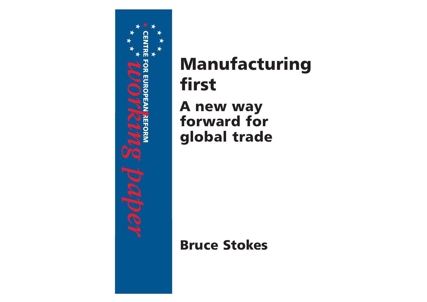

# Manufacturing first A new way forward for global trade

## Bruce Stokes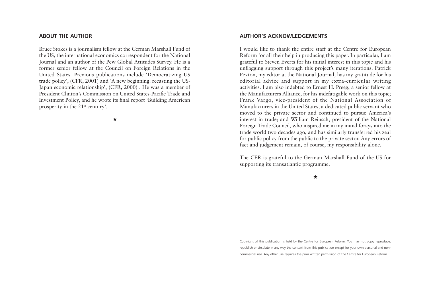## **ABOUT THE AUTHOR**

Bruce Stokes is a journalism fellow at the German Marshall Fund of the US, the international economics correspondent for the National Journal and an author of the Pew Global Attitudes Survey. He is a former senior fellow at the Council on Foreign Relations in the United States. Previous publications include 'Democratizing US trade policy', (CFR, 2001) and 'A new beginning: recasting the US-Japan economic relationship', (CFR, 2000) . He was a member of President Clinton's Commission on United States-Pacific Trade andInvestment Policy, and he wrote its final report 'Building American prosperity in the 21st century'.

★

### **AUTHOR'S ACKNOWLEDGEMENTS**

I would like to thank the entire staff at the Centre for European Reform for all their help in producing this paper. In particular, I am grateful to Steven Everts for his initial interest in this topic and his unflagging support through this project's many iterations. Patrick Pexton, my editor at the National Journal, has my gratitude for his editorial advice and support in my extra-curricular writing activities. I am also indebted to Ernest H. Preeg, a senior fellow at the Manufacturers Alliance, for his indefatigable work on this topic; Frank Vargo, vice-president of the National Association of Manufacturers in the United States, a dedicated public servant who moved to the private sector and continued to pursue America's interest in trade; and William Reinsch, president of the National Foreign Trade Council, who inspired me in my initial forays into the trade world two decades ago, and has similarly transferred his zeal for public policy from the public to the private sector. Any errors of fact and judgement remain, of course, my responsibility alone.

The CER is grateful to the German Marshall Fund of the US for supporting its transatlantic programme.

★

Copyright of this publication is held by the Centre for European Reform. You may not copy, reproduce, republish or circulate in any way the content from this publication except for your own personal and noncommercial use. Any other use requires the prior written permission of the Centre for European Reform.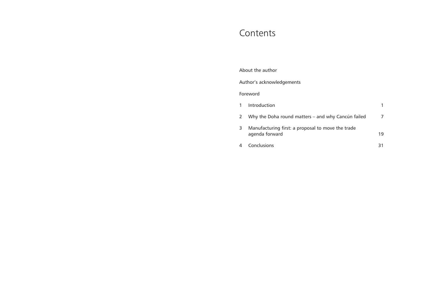## Contents

| About the author          |                                                                     |    |
|---------------------------|---------------------------------------------------------------------|----|
| Author's acknowledgements |                                                                     |    |
| Foreword                  |                                                                     |    |
|                           | Introduction                                                        | 1  |
| 2                         | Why the Doha round matters – and why Cancún failed                  | 7  |
| 3.                        | Manufacturing first: a proposal to move the trade<br>agenda forward | 19 |
|                           | Conclusions                                                         | 31 |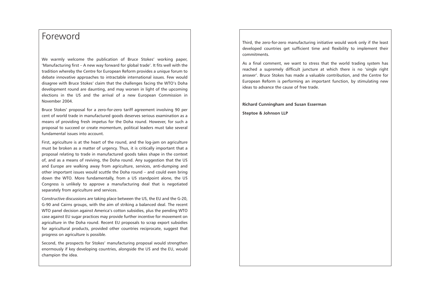## Foreword

We warmly welcome the publication of Bruce Stokes' working paper, 'Manufacturing first – A new way forward for global trade'. It fits well with the tradition whereby the Centre for European Reform provides a unique forum to debate innovative approaches to intractable international issues. Few would disagree with Bruce Stokes' claim that the challenges facing the WTO's Doha development round are daunting, and may worsen in light of the upcoming elections in the US and the arrival of a new European Commission in November 2004.

Bruce Stokes' proposal for a zero-for-zero tariff agreement involving 90 per cent of world trade in manufactured goods deserves serious examination as a means of providing fresh impetus for the Doha round. However, for such a proposal to succeed or create momentum, political leaders must take several fundamental issues into account.

First, agriculture is at the heart of the round, and the log-jam on agriculture must be broken as a matter of urgency. Thus, it is critically important that a proposal relating to trade in manufactured goods takes shape in the context of, and as a means of reviving, the Doha round. Any suggestion that the US and Europe are walking away from agriculture, services, anti-dumping and other important issues would scuttle the Doha round – and could even bring down the WTO. More fundamentally, from a US standpoint alone, the US Congress is unlikely to approve a manufacturing deal that is negotiated separately from agriculture and services.

Constructive discussions are taking place between the US, the EU and the G-20, G-90 and Cairns groups, with the aim of striking a balanced deal. The recent WTO panel decision against America's cotton subsidies, plus the pending WTO case against EU sugar practices may provide further incentive for movement on agriculture in the Doha round. Recent EU proposals to scrap export subsidies for agricultural products, provided other countries reciprocate, suggest that progress on agriculture is possible.

Second, the prospects for Stokes' manufacturing proposal would strengthen enormously if key developing countries, alongside the US and the EU, would champion the idea.

Third, the zero-for-zero manufacturing initiative would work only if the least developed countries get sufficient time and flexibility to implement their commitments.

As a final comment, we want to stress that the world trading system has reached a supremely difficult juncture at which there is no 'single right answer'. Bruce Stokes has made a valuable contribution, and the Centre for European Reform is performing an important function, by stimulating new ideas to advance the cause of free trade.

**Richard Cunningham and Susan Esserman Steptoe & Johnson LLP**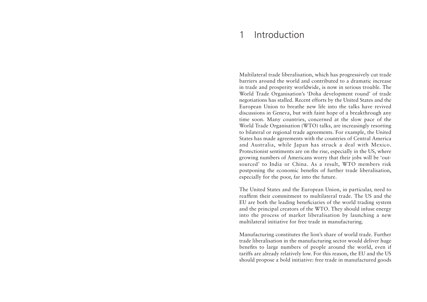#### 1Introduction

Multilateral trade liberalisation, which has progressively cut trade barriers around the world and contributed to a dramatic increasein trade and prosperity worldwide, is now in serious trouble. The World Trade Organisation's 'Doha development round' of trade negotiations has stalled. Recent efforts by the United States and the European Union to breathe new life into the talks have revived discussions in Geneva, but with faint hope of a breakthrough any time soon. Many countries, concerned at the slow pace of the World Trade Organisation (WTO) talks, are increasingly resorting to bilateral or regional trade agreements. For example, the United States has made agreements with the countries of Central America and Australia, while Japan has struck a deal with Mexico. Protectionist sentiments are on the rise, especially in the US, where growing numbers of Americans worry that their jobs will be 'outsourced' to India or China. As a result, WTO members risk postponing the economic benefits of further trade liberalisation, especially for the poor, far into the future.

The United States and the European Union, in particular, need to reaffirm their commitment to multilateral trade. The US and theEU are both the leading beneficiaries of the world trading system and the principal creators of the WTO. They should infuse energy into the process of market liberalisation by launching a new multilateral initiative for free trade in manufacturing.

Manufacturing constitutes the lion's share of world trade. Further trade liberalisation in the manufacturing sector would deliver huge benefits to large numbers of people around the world, even if tariffs are already relatively low. For this reason, the EU and the US should propose a bold initiative: free trade in manufactured goods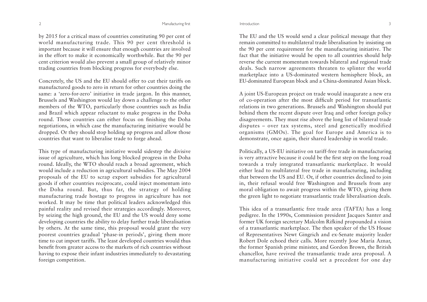by 2015 for a critical mass of countries constituting 90 per cent of world manufacturing trade. This 90 per cent threshold is important because it will ensure that enough countries are involved in the effort to make it economically worthwhile. But the 90 per cent criterion would also prevent a small group of relatively minor trading countries from blocking progress for everybody else.

Concretely, the US and the EU should offer to cut their tariffs on manufactured goods to zero in return for other countries doing the same: a 'zero-for-zero' initiative in trade jargon. In this manner, Brussels and Washington would lay down a challenge to the other members of the WTO, particularly those countries such as India and Brazil which appear reluctant to make progress in the Doha round. Those countries can either focus on finishing the Doha negotiations, in which case the manufacturing initiative would be dropped. Or they should stop holding up progress and allow those countries that want to liberalise trade to forge ahead.

This type of manufacturing initiative would sidestep the divisive issue of agriculture, which has long blocked progress in the Doha round. Ideally, the WTO should reach a broad agreement, which would include a reduction in agricultural subsidies. The May 2004 proposals of the EU to scrap export subsidies for agricultural goods if other countries reciprocate, could inject momentum into the Doha round. But, thus far, the strategy of holding manufacturing trade hostage to progress in agriculture has not worked. It may be time that political leaders acknowledged this painful reality and revised their strategies accordingly. Moreover, by seizing the high ground, the EU and the US would deny some developing countries the ability to delay further trade liberalisation by others. At the same time, this proposal would grant the very poorest countries gradual 'phase-in periods', giving them more time to cut import tariffs. The least developed countries would thus benefit from greater access to the markets of rich countries without having to expose their infant industries immediately to devastating foreign competition.

The EU and the US would send a clear political message that they remain committed to multilateral trade liberalisation by insisting on the 90 per cent requirement for the manufacturing initiative. The fact that the initiative would be open to all countries should help reverse the current momentum towards bilateral and regional trade deals. Such narrow agreements threaten to splinter the world marketplace into a US-dominated western hemisphere block, an EU-dominated European block and a China-dominated Asian block.

A joint US-European project on trade would inaugurate a new era of co-operation after the most difficult period for transatlantic relations in two generations. Brussels and Washington should put behind them the recent dispute over Iraq and other foreign policy disagreements. They must rise above the long list of bilateral trade disputes – over tax systems, steel and genetically modified organisms (GMOs). The goal for Europe and America is to demonstrate, once again, their shared leadership in world trade.

Politically, a US-EU initiative on tariff-free trade in manufacturing is very attractive because it could be the first step on the long road towards a truly integrated transatlantic marketplace. It would either lead to multilateral free trade in manufacturing, including that between the US and EU. Or, if other countries declined to join in, their refusal would free Washington and Brussels from any moral obligation to await progress within the WTO, giving them the green light to negotiate transatlantic trade liberalisation deals.

This idea of a transatlantic free trade area (TAFTA) has a long pedigree. In the 1990s, Commission president Jacques Santer and former UK foreign secretary Malcolm Rifkind propounded a vision of a transatlantic marketplace. The then speaker of the US House of Representatives Newt Gingrich and ex-Senate majority leader Robert Dole echoed their calls. More recently Jose María Aznar, the former Spanish prime minister, and Gordon Brown, the British chancellor, have revived the transatlantic trade area proposal. A manufacturing initiative could set a precedent for one day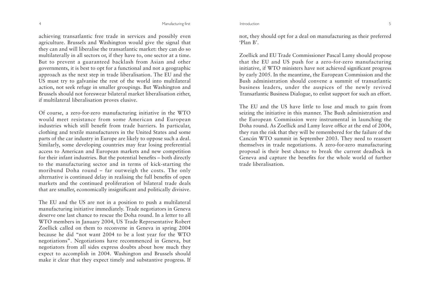achieving transatlantic free trade in services and possibly even agriculture. Brussels and Washington would give the signal that they can and will liberalise the transatlantic market: they can do so multilaterally in all sectors or, if they have to, one sector at a time. But to prevent a guaranteed backlash from Asian and other governments, it is best to opt for a functional and not a geographic approach as the next step in trade liberalisation. The EU and the US must try to galvanise the rest of the world into multilateral action, not seek refuge in smaller groupings. But Washington and Brussels should not foreswear bilateral market liberalisation either, if multilateral liberalisation proves elusive.

Of course, a zero-for-zero manufacturing initiative in the WTO would meet resistance from some American and European industries which still benefit from trade barriers. In particular, clothing and textile manufacturers in the United States and some parts of the car industry in Europe are likely to oppose such a deal. Similarly, some developing countries may fear losing preferential access to American and European markets and new competition for their infant industries. But the potential benefits – both directly to the manufacturing sector and in terms of kick-starting the moribund Doha round – far outweigh the costs. The only alternative is continued delay in realising the full benefits of open markets and the continued proliferation of bilateral trade deals that are smaller, economically insignificant and politically divisive.

The EU and the US are not in a position to push a multilateral manufacturing initiative immediately. Trade negotiators in Geneva deserve one last chance to rescue the Doha round. In a letter to all WTO members in January 2004, US Trade Representative Robert Zoellick called on them to reconvene in Geneva in spring 2004 because he did "not want 2004 to be a lost year for the WTO negotiations". Negotiations have recommenced in Geneva, but negotiators from all sides express doubts about how much they expect to accomplish in 2004. Washington and Brussels should make it clear that they expect timely and substantive progress. If

not, they should opt for a deal on manufacturing as their preferred 'Plan B'.

Zoellick and EU Trade Commissioner Pascal Lamy should propose that the EU and US push for a zero-for-zero manufacturing initiative, if WTO ministers have not achieved significant progress by early 2005. In the meantime, the European Commission and the Bush administration should convene a summit of transatlanticbusiness leaders, under the auspices of the newly revived Transatlantic Business Dialogue, to enlist support for such an effort.

The EU and the US have little to lose and much to gain from seizing the initiative in this manner. The Bush administration and the European Commission were instrumental in launching the Doha round. As Zoellick and Lamy leave office at the end of 2004, they run the risk that they will be remembered for the failure of the Cancún WTO summit in September 2003. They need to reassert themselves in trade negotiations. A zero-for-zero manufacturing proposal is their best chance to break the current deadlock in Geneva and capture the benefits for the whole world of further trade liberalisation.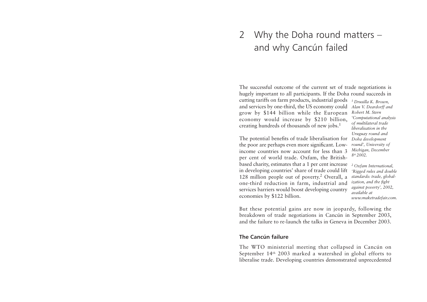## 2 Why the Doha round matters – and why Cancún failed

The successful outcome of the current set of trade negotiations is hugely important to all participants. If the Doha round succeeds in cutting tariffs on farm products, industrial goods and services by one-third, the US economy could *Alan V. Deardorff and* grow by \$144 billion while the European economy would increase by \$210 billion, creating hundreds of thousands of new jobs.1 *1 Drusilla K. Brown, Robert M. Sternof multilateral trade* 

The potential benefits of trade liberalisation for *Doha development* the poor are perhaps even more significant. Lowincome countries now account for less than 3 per cent of world trade. Oxfam, the Britishbased charity, estimates that a 1 per cent increase in developing countries' share of trade could lift *'Rigged rules and double* 128 million people out of poverty.2 Overall, a one-third reduction in farm, industrial and services barriers would boost developing country economies by \$122 billion.

*'Computational analysis liberalisation in theUruguay round and round', University of Michigan, December 8th 2002.* 

*2 Oxfam International, standards: trade, globalization, and the fight against poverty', 2002, available at www.maketradefair.com.* 

But these potential gains are now in jeopardy, following the breakdown of trade negotiations in Cancún in September 2003, and the failure to re-launch the talks in Geneva in December 2003.

## **The Cancún failure**

The WTO ministerial meeting that collapsed in Cancún on September 14th 2003 marked a watershed in global efforts to liberalise trade. Developing countries demonstrated unprecedented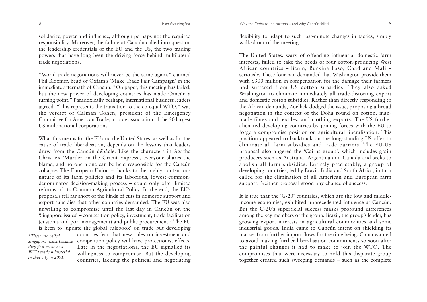solidarity, power and influence, although perhaps not the required responsibility. Moreover, the failure at Cancún called into question the leadership credentials of the EU and the US, the two trading powers that have long been the driving force behind multilateral trade negotiations.

"World trade negotiations will never be the same again," claimed Phil Bloomer, head of Oxfam's 'Make Trade Fair Campaign' in the immediate aftermath of Cancún. "On paper, this meeting has failed, but the new power of developing countries has made Cancún a turning point." Paradoxically perhaps, international business leaders agreed. "This represents the transition to the co-equal WTO," was the verdict of Calman Cohen, president of the Emergency Committee for American Trade, a trade association of the 50 largest US multinational corporations.

What this means for the EU and the United States, as well as for the cause of trade liberalisation, depends on the lessons that leaders draw from the Cancún débâcle. Like the characters in Agatha Christie's 'Murder on the Orient Express', everyone shares the blame, and no one alone can be held responsible for the Cancún collapse. The European Union – thanks to the highly contentious nature of its farm policies and its laborious, lowest-commondenominator decision-making process – could only offer limited reforms of its Common Agricultural Policy. In the end, the EU's proposals fell far short of the kinds of cuts in domestic support and export subsidies that other countries demanded. The EU was also unwilling to compromise until the last day in Cancún on the 'Singapore issues' – competition policy, investment, trade facilitation (customs and port management) and public procurement.3 The EU is keen to 'update the global rulebook' on trade but developing

*3 These are calledthey first arose at a WTO trade ministerial in that city in 2001.*

countries fear that new rules on investment andSingapore issues because competition policy will have protectionist effects. Late in the negotiations, the EU signalled its willingness to compromise. But the developing countries, lacking the political and negotiating

flexibility to adapt to such last-minute changes in tactics, simply walked out of the meeting.

The United States, wary of offending influential domestic farm interests, failed to take the needs of four cotton-producing West African countries – Benin, Burkina Faso, Chad and Mali – seriously. These four had demanded that Washington provide them with \$300 million in compensation for the damage their farmers had suffered from US cotton subsidies. They also asked Washington to eliminate immediately all trade-distorting export and domestic cotton subsidies. Rather than directly responding to the African demands, Zoellick dodged the issue, proposing a broad negotiation in the context of the Doha round on cotton, manmade fibres and textiles, and clothing exports. The US further alienated developing countries by joining forces with the EU to forge a compromise position on agricultural liberalisation. This position appeared to backtrack on the long-standing US offer to eliminate all farm subsidies and trade barriers. The EU-USproposal also angered the 'Cairns group', which includes grain producers such as Australia, Argentina and Canada and seeks to abolish all farm subsidies. Entirely predictably, a group of developing countries, led by Brazil, India and South Africa, in turn called for the elimination of all American and European farm support. Neither proposal stood any chance of success.

It is true that the 'G-20' countries, which are the low and middleincome economies, exhibited unprecedented influence at Cancún. But the G-20's superficial success masks profound differences among the key members of the group. Brazil, the group's leader, has growing export interests in agricultural commodities and some industrial goods. India came to Cancún intent on shielding its market from further import flows for the time being. China wanted to avoid making further liberalisation commitments so soon after the painful changes it had to make to join the WTO. The compromises that were necessary to hold this disparate group together created such sweeping demands – such as the complete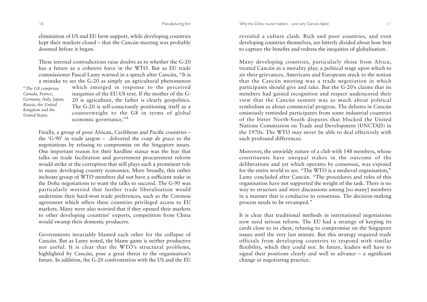elimination of US and EU farm support, while developing countries kept their markets closed – that the Cancún meeting was probably doomed before it began.

These internal contradictions raise doubts as to whether the G-20has a future as a cohesive force in the WTO. But as EU tradecommissioner Pascal Lamy warned in a speech after Cancún, "It is

*4 The G8 comprises Canada, France, Germany, Italy, Japan, Russia, the United Kingdom and the United States.*

a mistake to see the G-20 as simply an agricultural phenomenon which emerged in response to the perceived inequities of the EU-US text. If the mother of the G-20 is agriculture, the father is clearly geopolitics. The G-20 is self-consciously positioning itself as a counterweight to the G8 in terms of global economic governance."<sup>4</sup>

Finally, a group of poor African, Caribbean and Pacific countries – the 'G-90' in trade jargon – delivered the *coup de grace* to the negotiations by refusing to compromise on the Singapore issues. One important reason for their hardline stance was the fear that talks on trade facilitation and government procurement reform would strike at the corruption that still plays such a prominent role in many developing country economies. More broadly, this rather inchoate group of WTO members did not have a sufficient stake in the Doha negotiations to want the talks to succeed. The G-90 was particularly worried that further trade liberalisation would undermine their hard-won trade preferences, such as the Cotonou agreement which offers these countries privileged access to EU markets. Many were also worried that if they opened their markets to other developing countries' exports, competition from China would swamp their domestic producers.

Governments invariably blamed each other for the collapse of Cancún. But as Lamy noted, the blame game is neither productive nor useful. It is clear that the WTO's structural problems, highlighted by Cancún, pose a great threat to the organisation's future. In addition, the G-20 confrontation with the US and the EU

revealed a culture clash. Rich and poor countries, and even developing countries themselves, are bitterly divided about how best to capture the benefits and redress the inequities of globalisation.

Many developing countries, particularly those from Africa, treated Cancún as a morality play, a political stage upon which to air their grievances. Americans and Europeans stuck to the notion that the Cancún meeting was a trade negotiation in which participants should give and take. But the G-20's claims that its members had gained recognition and respect underscored their view that the Cancún summit was as much about political symbolism as about commercial progress. The debates in Cancún ominously reminded participants from some industrial countries of the bitter North-South disputes that blocked the United Nations Commission on Trade and Development (UNCTAD) in the 1970s. The WTO may never be able to deal effectively with such profound differences.

Moreover, the unwieldy nature of a club with 148 members, whose constituents have unequal stakes in the outcome of the deliberations and yet which operates by consensus, was exposed for the entire world to see. "The WTO is a medieval organisation," Lamy concluded after Cancún. "The procedures and rules of this organisation have not supported the weight of the task. There is no way to structure and steer discussions among [so many] members in a manner that is conducive to consensus. The decision-making process needs to be revamped."

It is clear that traditional methods in international negotiations now need serious reform. The EU had a strategy of keeping its cards close to its chest, refusing to compromise on the Singapore issues until the very last minute. But this strategy required trade officials from developing countries to respond with similar flexibility, which they could not. In future, leaders will have to signal their positions clearly and well in advance – a significant change in negotiating practice.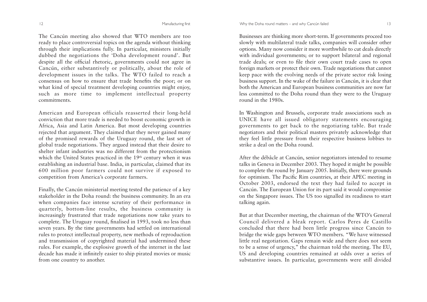The Cancún meeting also showed that WTO members are too ready to place controversial topics on the agenda without thinking through their implications fully. In particular, ministers initially dubbed the negotiations the 'Doha development round'. But despite all the official rhetoric, governments could not agree in Cancún, either substantively or politically, about the role of development issues in the talks. The WTO failed to reach a consensus on how to ensure that trade benefits the poor; or on what kind of special treatment developing countries might enjoy, such as more time to implement intellectual property commitments.

American and European officials reasserted their long-held conviction that more trade is needed to boost economic growth in Africa, Asia and Latin America. But most developing countries rejected that argument. They claimed that they never gained many of the promised rewards of the Uruguay round, the last set of <sup>g</sup>lobal trade negotiations. They argued instead that their desire to shelter infant industries was no different from the protectionism which the United States practiced in the 19<sup>th</sup> century when it was establishing an industrial base. India, in particular, claimed that its 600 million poor farmers could not survive if exposed to competition from America's corporate farmers.

Finally, the Cancún ministerial meeting tested the patience of a key stakeholder in the Doha round: the business community. In an era when companies face intense scrutiny of their performance in quarterly, bottom-line results, the business community is increasingly frustrated that trade negotiations now take years to complete. The Uruguay round, finalised in 1993, took no less than seven years. By the time governments had settled on international rules to protect intellectual property, new methods of reproduction and transmission of copyrighted material had undermined these rules. For example, the explosive growth of the internet in the last decade has made it infinitely easier to ship pirated movies or music from one country to another.

Businesses are thinking more short-term. If governments proceed too slowly with multilateral trade talks, companies will consider other options. Many now consider it more worthwhile to cut deals directly with individual governments; or to support bilateral and regional trade deals; or even to file their own court trade cases to open foreign markets or protect their own. Trade negotiations that cannot keep pace with the evolving needs of the private sector risk losing business support. In the wake of the failure in Cancún, it is clear that both the American and European business communities are now far less committed to the Doha round than they were to the Uruguay round in the 1980s.

In Washington and Brussels, corporate trade associations such as UNICE have all issued obligatory statements encouraging governments to get back to the negotiating table. But trade negotiators and their political masters privately acknowledge that they feel little pressure from their respective business lobbies to strike a deal on the Doha round.

After the débâcle at Cancún, senior negotiators intended to resume talks in Geneva in December 2003. They hoped it might be possible to complete the round by January 2005. Initially, there were grounds for optimism. The Pacific Rim countries, at their APEC meeting in October 2003, endorsed the text they had failed to accept in Cancún. The European Union for its part said it would compromise on the Singapore issues. The US too signalled its readiness to start talking again.

But at that December meeting, the chairman of the WTO's General Council delivered a bleak report. Carlos Peres de Castillo concluded that there had been little progress since Cancún to bridge the wide gaps between WTO members. "We have witnessed little real negotiation. Gaps remain wide and there does not seem to be a sense of urgency," the chairman told the meeting. The EU, US and developing countries remained at odds over a series of substantive issues. In particular, governments were still divided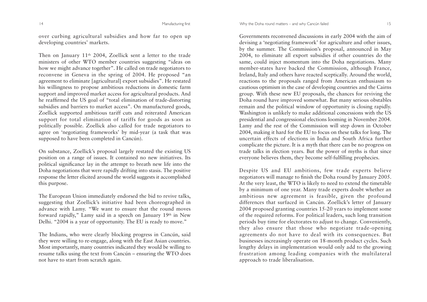over curbing agricultural subsidies and how far to open up developing countries' markets.

Then on January 11th 2004, Zoellick sent a letter to the trade ministers of other WTO member countries suggesting "ideas on how we might advance together". He called on trade negotiators to reconvene in Geneva in the spring of 2004. He proposed "an agreement to eliminate [agricultural] export subsidies". He restated his willingness to propose ambitious reductions in domestic farm support and improved market access for agricultural products. And he reaffirmed the US goal of "total elimination of trade-distorting subsidies and barriers to market access". On manufactured goods, Zoellick supported ambitious tariff cuts and reiterated American support for total elimination of tariffs for goods as soon as politically possible. Zoellick also called for trade negotiators to agree on 'negotiating frameworks' by mid-year (a task that was supposed to have been completed in Cancún).

On substance, Zoellick's proposal largely restated the existing US position on a range of issues. It contained no new initiatives. Its political significance lay in the attempt to breath new life into the Doha negotiations that were rapidly drifting into stasis. The positive response the letter elicited around the world suggests it accomplished this purpose.

The European Union immediately endorsed the bid to revive talks, suggesting that Zoellick's initiative had been choreographed in advance with Lamy. "We want to ensure that the round moves forward rapidly," Lamy said in a speech on January 19th in New Delhi. "2004 is a year of opportunity. The EU is ready to move."

The Indians, who were clearly blocking progress in Cancún, said they were willing to re-engage, along with the East Asian countries. Most importantly, many countries indicated they would be willing to resume talks using the text from Cancún – ensuring the WTO does not have to start from scratch again.

#### 14 14 Manufacturing first Manufacturing first Why the Doha round matters – and why Cancún failed 15

Governments reconvened discussions in early 2004 with the aim of devising a 'negotiating framework' for agriculture and other issues, by the summer. The Commission's proposal, announced in May 2004, to eliminate all export subsidies if other countries do the same, could inject momentum into the Doha negotiations. Many member-states have backed the Commission, although France, Ireland, Italy and others have reacted sceptically. Around the world, reactions to the proposals ranged from American enthusiasm to cautious optimism in the case of developing countries and the Cairns group. With these new EU proposals, the chances for reviving the Doha round have improved somewhat. But many serious obstables remain and the political window of opportunity is closing rapidly. Washington is unlikely to make additional concessions with the US presidential and congressional elections looming in November 2004. Lamy and the rest of the Commission will step down in October 2004, making it hard for the EU to focus on these talks for long. The uncertain effects of elections in India and South Africa furthercomplicate the picture. It is a myth that there can be no progress on trade talks in election years. But the power of myths is that since everyone believes them, they become self-fulfilling prophecies.

Despite US and EU ambitions, few trade experts believe negotiators will manage to finish the Doha round by January 2005. At the very least, the WTO is likely to need to extend the timetable by a minimum of one year. Many trade experts doubt whether an ambitious new agreement is feasible, given the profound differences that surfaced in Cancún. Zoellick's letter of January 2004 proposed granting countries 15-20 years to implement some of the required reforms. For political leaders, such long transition periods buy time for electorates to adjust to change. Conveniently, they also ensure that those who negotiate trade-opening agreements do not have to deal with its consequences. But businesses increasingly operate on 18-month product cycles. Such lengthy delays in implementation would only add to the growing frustration among leading companies with the multilateral approach to trade liberalisation.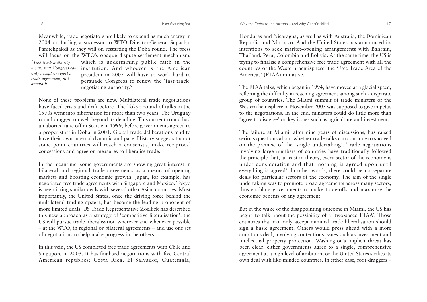Manufacturing first The Solid Communication of the Why the Doha round matters – and why Cancún failed 17

Meanwhile, trade negotiators are likely to expend as much energy in 2004 on finding a successor to WTO Director-General Supachai Panitchpakdi as they will on restarting the Doha round. The press will focus on the WTO's opaque dispute settlement mechanism, which is undermining public faith in the institution. And whoever is the American president in 2005 will have to work hard to persuade Congress to renew the 'fast-track' negotiating authority.5 *5 Fast-track authority means that Congress can only accept or reject a trade agreement, not amend it.*

None of these problems are new. Multilateral trade negotiations have faced crisis and drift before. The Tokyo round of talks in the 1970s went into hibernation for more than two years. The Uruguay round dragged on well beyond its deadline. This current round had an aborted take off in Seattle in 1999, before governments agreed to a proper start in Doha in 2001. Global trade deliberations tend to have their own internal dynamic and pace. History suggests that at some point countries will reach a consensus, make reciprocal concessions and agree on measures to liberalise trade.

In the meantime, some governments are showing great interest in bilateral and regional trade agreements as a means of opening markets and boosting economic growth. Japan, for example, has negotiated free trade agreements with Singapore and Mexico. Tokyo is negotiating similar deals with several other Asian countries. Most importantly, the United States, once the driving force behind the multilateral trading system, has become the leading proponent of more limited deals. US Trade Representative Zoellick has described this new approach as a strategy of 'competitive liberalisation': the US will pursue trade liberalisation wherever and whenever possible – at the WTO, in regional or bilateral agreements – and use one set of negotiations to help make progress in the others.

In this vein, the US completed free trade agreements with Chile and Singapore in 2003. It has finalised negotiations with five Central American republics: Costa Rica, El Salvador, Guatemala, Honduras and Nicaragua; as well as with Australia, the Dominican Republic and Morocco. And the United States has announced its intentions to seek market-opening arrangements with Bahrain, Thailand, Peru, Colombia and Bolivia. At the same time, the US is trying to finalise a comprehensive free trade agreement with all the countries of the Western hemisphere: the 'Free Trade Area of the Americas' (FTAA) initiative.

The FTAA talks, which began in 1994, have moved at a glacial speed, reflecting the difficulty in reaching agreement among such a disparate group of countries. The Miami summit of trade ministers of the Western hemisphere in November 2003 was supposed to give impetus to the negotiations. In the end, ministers could do little more than 'agree to disagree' on key issues such as agriculture and investment.

The failure at Miami, after nine years of discussions, has raised serious questions about whether trade talks can continue to succeed on the premise of the 'single undertaking'. Trade negotiations involving large numbers of countries have traditionally followed the principle that, at least in theory, every sector of the economy is under consideration and that 'nothing is agreed upon until everything is agreed'. In other words, there could be no separate deals for particular sectors of the economy. The aim of the single undertaking was to promote broad agreements across many sectors, thus enabling governments to make trade-offs and maximise the economic benefits of any agreement.

But in the wake of the disappointing outcome in Miami, the US has begun to talk about the possibility of a 'two-speed FTAA'. Those countries that can only accept minimal trade liberalisation should sign a basic agreement. Others would press ahead with a more ambitious deal, involving contentious issues such as investment and intellectual property protection. Washington's implicit threat has been clear: either governments agree to a single, comprehensive agreement at a high level of ambition, or the United States strikes its own deal with like-minded countries. In either case, foot-draggers –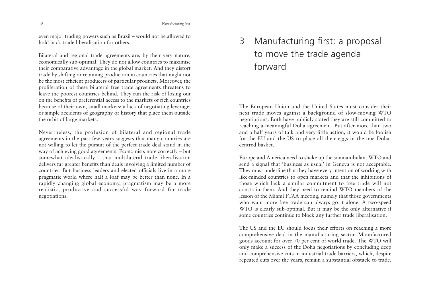Manufacturing first

even major trading powers such as Brazil – would not be allowed to hold back trade liberalisation for others.

Bilateral and regional trade agreements are, by their very nature, economically sub-optimal. They do not allow countries to maximise their comparative advantage in the global market. And they distort trade by shifting or retaining production in countries that might not be the most efficient producers of particular products. Moreover, the proliferation of these bilateral free trade agreements threatens to leave the poorest countries behind. They run the risk of losing out on the benefits of preferential access to the markets of rich countries because of their own, small markets; a lack of negotiating leverage; or simple accidents of geography or history that place them outside the orbit of large markets.

Nevertheless, the profusion of bilateral and regional trade agreements in the past few years suggests that many countries are not willing to let the pursuit of the perfect trade deal stand in the way of achieving good agreements. Economists note correctly – but somewhat idealistically – that multilateral trade liberalisation delivers far greater benefits than deals involving a limited number of countries. But business leaders and elected officials live in a morepragmatic world where half a loaf may be better than none. In a rapidly changing global economy, pragmatism may be a more realistic, productive and successful way forward for trade negotiations.

## 3 Manufacturing first: a proposal to move the trade agenda forward

The European Union and the United States must consider their next trade moves against a background of slow-moving WTO negotiations. Both have publicly stated they are still committed to reaching a meaningful Doha agreement. But after more than two and a half years of talk and very little action, it would be foolish for the EU and the US to place all their eggs in the one Dohacentred basket.

Europe and America need to shake up the somnambulant WTO and send a signal that 'business as usual' in Geneva is not acceptable. They must underline that they have every intention of working with like-minded countries to open markets and that the inhibitions of those which lack a similar commitment to free trade will notconstrain them. And they need to remind WTO members of the lesson of the Miami FTAA meeting, namely that those governments who want more free trade can always go it alone. A two-speed WTO is clearly sub-optimal. But it may be the only alternative if some countries continue to block any further trade liberalisation.

The US and the EU should focus their efforts on reaching a more comprehensive deal in the manufacturing sector. Manufactured goods account for over 70 per cent of world trade. The WTO will only make a success of the Doha negotiations by concluding deep and comprehensive cuts in industrial trade barriers, which, despite repeated cuts over the years, remain a substantial obstacle to trade.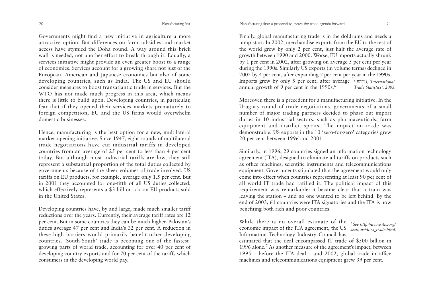Governments might find a new initiative in agriculture a more attractive option. But differences on farm subsidies and market access have stymied the Doha round. A way around this brick wall is needed, not another effort to break through it. Equally, a services initiative might provide an even greater boost to a range of economies. Services account for a growing share not just of the European, American and Japanese economies but also of some developing countries, such as India. The US and EU should consider measures to boost transatlantic trade in services. But theWTO has not made much progress in this area, which means there is little to build upon. Developing countries, in particular, fear that if they opened their services markets prematurely to foreign competition, EU and the US firms would overwhelm domestic businesses.

Hence, manufacturing is the best option for a new, multilateral market-opening initiative. Since 1947, eight rounds of multilateral trade negotiations have cut industrial tariffs in developed countries from an average of 25 per cent to less than 4 per cent today. But although most industrial tariffs are low, they still represent a substantial proportion of the total duties collected by governments because of the sheer volumes of trade involved. US tariffs on EU products, for example, average only 1.5 per cent. But in 2001 they accounted for one-fifth of all US duties collected, which effectively represents a \$3 billion tax on EU products sold in the United States.

Developing countries have, by and large, made much smaller tariff reductions over the years. Currently, their average tariff rates are 12 per cent. But in some countries they can be much higher. Pakistan's duties average 47 per cent and India's 32 per cent. A reduction in these high barriers would primarily benefit other developing countries. 'South-South' trade is becoming one of the fastestgrowing parts of world trade, accounting for over 40 per cent of developing country exports and for 70 per cent of the tariffs which consumers in the developing world pay.

Finally, global manufacturing trade is in the doldrums and needs a jump-start. In 2002, merchandise exports from the EU to the rest of the world grew by only 2 per cent, just half the average rate of growth between 1990 and 2000. Worse, EU imports actually shrunk by 1 per cent in 2002, after growing on average 5 per cent per year during the 1990s. Similarly US exports (in volume terms) declined in 2002 by 4 per cent, after expanding 7 per cent per year in the 1990s. Imports grew by only 5 per cent, after average *6 WTO, 'International* annual growth of 9 per cent in the 1990s.<sup>6</sup> *Trade Statistics', 2003.*

Moreover, there is a precedent for a manufacturing initiative. In the Uruguay round of trade negotiations, governments of a small number of major trading partners decided to phase out import duties in 10 industrial sectors, such as pharmaceuticals, farm equipment and distilled spirits. The impact on trade was demonstrable. US exports in the 10 'zero-for-zero' categories grew 20 per cent between 1996 and 2001.

Similarly, in 1996, 29 countries signed an information technology agreement (ITA), designed to eliminate all tariffs on products such as office machines, scientific instruments and telecommunications equipment. Governments stipulated that the agreement would only come into effect when countries representing at least 90 per cent of all world IT trade had ratified it. The political impact of this requirement was remarkable: it became clear that a train was leaving the station – and no one wanted to be left behind. By the end of 2003, 61 countries were ITA signatories and the ITA is now benefiting both rich and poor countries.

While there is no overall estimate of the *7 See http://www.itic.org/* economic impact of the ITA agreement, the US *sections/docs\_trade.html.*Information Technology Industry Council has estimated that the deal encompassed IT trade of \$500 billion in 1996 alone.7 As another measure of the agreement's impact, between 1995 – before the ITA deal – and 2002, global trade in office machines and telecommunications equipment grew 39 per cent.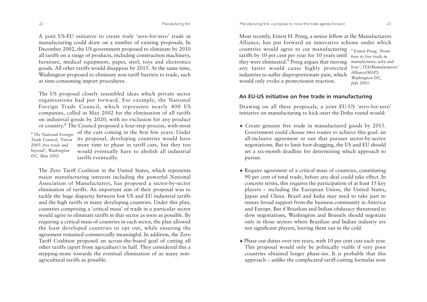A joint US-EU initiative to create truly 'zero-for-zero' trade in manufacturing could draw on a number of existing proposals. In December 2002, the US government proposed to eliminate by 2010 all tariffs on a range of products, including construction machinery, furniture, medical equipment, paper, steel, toys and electronics goods. All other tariffs would disappear by 2015. At the same time, Washington proposed to eliminate non-tariff barriers to trade, such as time-consuming import procedures.

The US proposal closely resembled ideas which private sector organisations had put forward. For example, the National Foreign Trade Council, which represents nearly 400 US companies, called in May 2002 for the elimination of all tariffs on industrial goods by 2020, with no exclusion for any product or country.<sup>8</sup> The Council proposed a four-step process, with most

*8 The National Foreign Trade Council, 'Vision 2005: free trade and beyond', Washington DC, May 2002.*

of the cuts coming in the first few years. Under its proposal, developing countries would have more time to phase in tariff cuts, but they too would eventually have to abolish all industrial tariffs eventually.

The Zero Tariff Coalition in the United States, which represents major manufacturing interests including the powerful National Association of Manufacturers, has proposed a sector-by-sector elimination of tariffs. An important aim of their proposal was to tackle the huge disparity between low US and EU industrial tariffs and the high tariffs in many developing countries. Under this plan, countries comprising a 'critical mass' of trade in a particular sector would agree to eliminate tariffs in that sector as soon as possible. By requiring a critical mass of countries in each sector, the plan allowed the least developed countries to opt out, while ensuring the agreement remained commercially meaningful. In addition, the Zero Tariff Coalition proposed an across-the-board goal of cutting all other tariffs (apart from agriculture) in half. They considered this a stepping-stone towards the eventual elimination of as many nonagricultural tariffs as possible.

Most recently, Ernest H. Preeg, a senior fellow at the Manufacturers Alliance, has put forward an innovative scheme under which

countries would agree to cut manufacturing *9 Ernest Preeg, 'From* tariffs by 10 per cent per year for 10 years until they were eliminated.<sup>9</sup> Preeg argues that moving any faster would cause highly protected industries to suffer disproportionate pain, which would only evoke a protectionist reaction.

*here to free trade in manufactures: why and how', ITA/Manufacturers' Alliance/MAPI, Washington DC, July 2003.*

## **An EU-US initiative on free trade in manufacturing**

Drawing on all these proposals, a joint EU-US 'zero-for-zero' initiative on manufacturing to kick-start the Doha round would:

- ★ Create genuine free trade in manufactured goods by 2015. Government could choose two routes to achieve this goal: an all-inclusive agreement or one that pursues sector-by-sector negotiations. But to limit foot-dragging, the US and EU should set a six-month deadline for determining which approach to pursue.
- ★ Require agreement of a critical mass of countries, constituting 90 per cent of total trade, before any deal could take effect. In concrete terms, this requires the participation of at least 15 key <sup>p</sup>layers – including the European Union, the United States, Japan and China. Brazil and India may need to take part to ensure broad support from the business community in America and Europe. But if Brazilian and Indian obduracy threatened to slow negotiations, Washington and Brussels should negotiate only in those sectors where Brazilian and Indian industry are not significant players, leaving them out in the cold.
- ★ Phase out duties over ten years, with 10 per cent cuts each year. This proposal would only be politically viable if very poor countries obtained longer phase-ins. It is probable that this approach – unlike the complicated tariff-cutting formulas now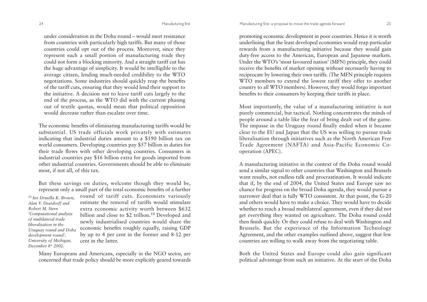24 Manufacturing first

under consideration in the Doha round – would meet resistancefrom countries with particularly high tariffs. But many of those countries could opt out of the process. Moreover, since they represent such a small portion of manufacturing trade they could not form a blocking minority. And a straight tariff cut has the huge advantage of simplicity. It would be intelligible to the average citizen, lending much-needed credibility to the WTO negotiations. Some industries should quickly reap the benefits of the tariff cuts, ensuring that they would lend their support to the initiative. A decision not to leave tariff cuts largely to the end of the process, as the WTO did with the current phasing out of textile quotas, would mean that political opposition would decrease rather than escalate over time.

The economic benefits of eliminating manufacturing tariffs would be substantial. US trade officials work privately with estimates indicating that industrial duties amount to a \$190 billion tax on world consumers. Developing countries pay \$57 billion in duties for their trade flows with other developing countries. Consumers in industrial countries pay \$16 billion extra for goods imported from other industrial countries. Governments should be able to eliminate most, if not all, of this tax.

But these savings on duties, welcome though they would be, represent only a small part of the total economic benefits of a further

*10 See Drusilla K. Brown, Alan V. Deardorff and Robert M. Stern'Computational analysis of multilateral trade liberalisation in theUruguay round and Doha development round', University of Michigan, December 8th 2002.*

round of tariff cuts. Economists variously estimate the removal of tariffs would stimulateextra economic activity worth between \$632 billion and close to \$2 trillion.<sup>10</sup> Developed and newly industrialised countries would share the economic benefits roughly equally, raising GDP by up to 4 per cent in the former and 8-12 per cent in the latter.

Many Europeans and Americans, especially in the NGO sector, are concerned that trade policy should be more explicitly geared towards

promoting economic development in poor countries. Hence it is worth underlining that the least developed economies would reap particular rewards from a manufacturing initiative because they would gain duty-free access to the American, European and Japanese markets. Under the WTO's 'most favoured nation' (MFN) principle, they could receive the benefits of market opening without necessarily having to reciprocate by lowering their own tariffs. (The MFN principle requires WTO members to extend the lowest tariff they offer to another country to all WTO members). However, they would forgo important benefits to their consumers by keeping their tariffs in place.

Most importantly, the value of a manufacturing initiative is not purely commercial, but tactical. Nothing concentrates the minds of people around a table like the fear of being dealt out of the game. The impasse in the Uruguay round finally ended when it became clear to the EU and Japan that the US was willing to pursue trade liberalisation through initiatives such as the North American Free Trade Agreement (NAFTA) and Asia-Pacific Economic Cooperation (APEC).

A manufacturing initiative in the context of the Doha round would send a similar signal to other countries that Washington and Brussels want results, not endless talk and procrastination. It would indicate that if, by the end of 2004, the United States and Europe saw no chance for progress on the broad Doha agenda, they would pursue a narrower deal that is fully WTO consistent. At that point, the G-20 and others would have to make a choice. They would have to decide whether to reach a broad multilateral agreement, even if they did not get everything they wanted on agriculture. The Doha round could then finish quickly. Or they could refuse to deal with Washington and Brussels. But the experience of the Information Technology Agreement, and the other examples outlined above, suggest that few countries are willing to walk away from the negotiating table.

Both the United States and Europe could also gain significant political advantage from such an initiative. At the start of the Doha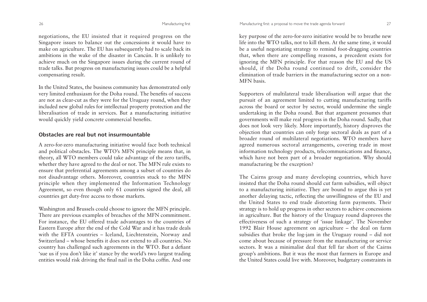negotiations, the EU insisted that it required progress on the Singapore issues to balance out the concessions it would have to make on agriculture. The EU has subsequently had to scale back its ambitions in the wake of the disaster in Cancún. It is unlikely to achieve much on the Singapore issues during the current round of trade talks. But progress on manufacturing issues could be a helpful compensating result.

In the United States, the business community has demonstrated only very limited enthusiasm for the Doha round. The benefits of success are not as clear-cut as they were for the Uruguay round, when they included new global rules for intellectual property protection and the liberalisation of trade in services. But a manufacturing initiative would quickly yield concrete commercial benefits.

#### **Obstacles are real but not insurmountable**

A zero-for-zero manufacturing initiative would face both technical and political obstacles. The WTO's MFN principle means that, in theory, all WTO members could take advantage of the zero tariffs, whether they have agreed to the deal or not. The MFN rule exists to ensure that preferential agreements among a subset of countries do not disadvantage others. Moreover, countries stuck to the MFN principle when they implemented the Information Technology Agreement, so even though only 61 countries signed the deal, all countries get duty-free access to those markets.

Washington and Brussels could choose to ignore the MFN principle. There are previous examples of breaches of the MFN commitment. For instance, the EU offered trade advantages to the countries of Eastern Europe after the end of the Cold War and it has trade deals with the EFTA countries – Iceland, Liechtenstein, Norway and Switzerland – whose benefits it does not extend to all countries. Nocountry has challenged such agreements in the WTO. But a defiant 'sue us if you don't like it' stance by the world's two largest trading entities would risk driving the final nail in the Doha coffin. And one

key purpose of the zero-for-zero initiative would be to breathe new life into the WTO talks, not to kill them. At the same time, it would be a useful negotiating strategy to remind foot-dragging countries that, when there are compelling reasons, a precedent exists for ignoring the MFN principle. For that reason the EU and the US should, if the Doha round continued to drift, consider the elimination of trade barriers in the manufacturing sector on a non-MFN basis.

Supporters of multilateral trade liberalisation will argue that the pursuit of an agreement limited to cutting manufacturing tariffs across the board or sector by sector, would undermine the single undertaking in the Doha round. But that argument presumes that governments will make real progress in the Doha round. Sadly, that does not look very likely. More importantly, history disproves the objection that countries can only forge sectoral deals as part of a broader round of multilateral negotiations. WTO members have agreed numerous sectoral arrangements, covering trade in most information technology products, telecommunications and finance, which have not been part of a broader negotiation. Why should manufacturing be the exception?

The Cairns group and many developing countries, which have insisted that the Doha round should cut farm subsidies, will object to a manufacturing initiative. They are bound to argue this is yet another delaying tactic, reflecting the unwillingness of the EU and the United States to end trade distorting farm payments. Their strategy is to hold up progress in other sectors to achieve concessions in agriculture. But the history of the Uruguay round disproves the effectiveness of such a strategy of 'issue linkage'. The November 1992 Blair House agreement on agriculture – the deal on farm subsidies that broke the log-jam in the Uruguay round – did not come about because of pressure from the manufacturing or service sectors. It was a minimalist deal that fell far short of the Cairnsgroup's ambitions. But it was the most that farmers in Europe and the United States could live with. Moreover, budgetary constraints in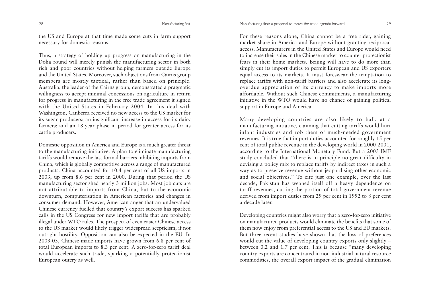the US and Europe at that time made some cuts in farm support necessary for domestic reasons.

Thus, a strategy of holding up progress on manufacturing in the Doha round will merely punish the manufacturing sector in both rich and poor countries without helping farmers outside Europe and the United States. Moreover, such objections from Cairns group members are mostly tactical, rather than based on principle. Australia, the leader of the Cairns group, demonstrated a pragmatic willingness to accept minimal concessions on agriculture in return for progress in manufacturing in the free trade agreement it signed with the United States in February 2004. In this deal with Washington, Canberra received no new access to the US market for its sugar producers; an insignificant increase in access for its dairy farmers; and an 18-year phase in period for greater access for its cattle producers.

Domestic opposition in America and Europe is a much greater threat to the manufacturing initiative. A plan to eliminate manufacturing tariffs would remove the last formal barriers inhibiting imports from China, which is globally competitive across a range of manufactured products. China accounted for 10.4 per cent of all US imports in 2003, up from 8.6 per cent in 2000. During that period the US manufacturing sector shed nearly 3 million jobs. Most job cuts are not attributable to imports from China, but to the economic downturn, computerisation in American factories and changes in consumer demand. However, American anger that an undervalued Chinese currency fuelled that country's export success has sparked calls in the US Congress for new import tariffs that are probably illegal under WTO rules. The prospect of even easier Chinese access to the US market would likely trigger widespread scepticism, if not outright hostility. Opposition can also be expected in the EU. In 2003-03, Chinese-made imports have grown from 6.8 per cent of total European imports to 8.3 per cent. A zero-for-zero tariff deal would accelerate such trade, sparking a potentially protectionist European outcry as well.

For these reasons alone, China cannot be a free rider, gaining market share in America and Europe without granting reciprocal access. Manufacturers in the United States and Europe would need to increase their sales in the Chinese market to counter protectionist fears in their home markets. Beijing will have to do more than simply cut its import duties to permit European and US exporters equal access to its markets. It must foreswear the temptation to replace tariffs with non-tariff barriers and also accelerate its longoverdue appreciation of its currency to make imports more affordable. Without such Chinese commitments, a manufacturing initiative in the WTO would have no chance of gaining political support in Europe and America.

Many developing countries are also likely to balk at a manufacturing initiative, claiming that cutting tariffs would hurt infant industries and rob them of much-needed government revenues. It is true that import duties accounted for roughly 15 per cent of total public revenue in the developing world in 2000-2001, according to the International Monetary Fund. But a 2003 IMF study concluded that "there is in principle no great difficulty in devising a policy mix to replace tariffs by indirect taxes in such a way as to preserve revenue without jeopardising other economic and social objectives." To cite just one example, over the last decade, Pakistan has weaned itself off a heavy dependence on tariff revenues, cutting the portion of total government revenue derived from import duties from 29 per cent in 1992 to 8 per cent a decade later.

Developing countries might also worry that a zero-for-zero initiative on manufactured products would eliminate the benefits that some of them now enjoy from preferential access to the US and EU markets. But three recent studies have shown that the loss of preferences would cut the value of developing country exports only slightly – between 0.2 and 1.7 per cent. This is because "many developing country exports are concentrated in non-industrial natural resource commodities, the overall export impact of the gradual elimination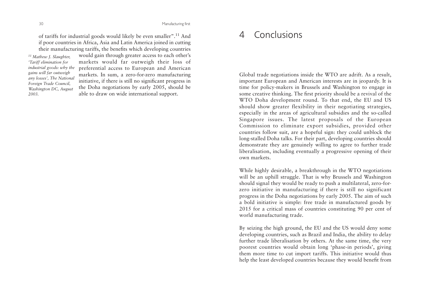of tariffs for industrial goods would likely be even smaller".11 And if poor countries in Africa, Asia and Latin America joined in cutting their manufacturing tariffs, the benefits which developing countries

*11 Mathew J. Slaughter, 'Tariff elimination for industrial goods: why the gains will far outweigh any losses', The National Foreign Trade Council, Washington DC, August 2003.* 

would gain through greater access to each other's markets would far outweigh their loss of preferential access to European and American markets. In sum, a zero-for-zero manufacturing initiative, if there is still no significant progress in the Doha negotiations by early 2005, should be able to draw on wide international support.

#### $\Delta$ Conclusions

Global trade negotiations inside the WTO are adrift. As a result, important European and American interests are in jeopardy. It is time for policy-makers in Brussels and Washington to engage in some creative thinking. The first priority should be a revival of the WTO Doha development round. To that end, the EU and US should show greater flexibility in their negotiating strategies, especially in the areas of agricultural subsidies and the so-called Singapore issues. The latest proposals of the European Commission to eliminate export subsidies, provided other countries follow suit, are a hopeful sign: they could unblock the long-stalled Doha talks. For their part, developing countries should demonstrate they are genuinely willing to agree to further trade liberalisation, including eventually a progressive opening of their own markets.

While highly desirable, a breakthrough in the WTO negotiations will be an uphill struggle. That is why Brussels and Washington should signal they would be ready to push a multilateral, zero-forzero initiative in manufacturing if there is still no significant progress in the Doha negotiations by early 2005. The aim of such a bold initiative is simple: free trade in manufactured goods by 2015 for a critical mass of countries constituting 90 per cent of world manufacturing trade.

By seizing the high ground, the EU and the US would deny some developing countries, such as Brazil and India, the ability to delay further trade liberalisation by others. At the same time, the very poorest countries would obtain long 'phase-in periods', giving them more time to cut import tariffs. This initiative would thus help the least developed countries because they would benefit from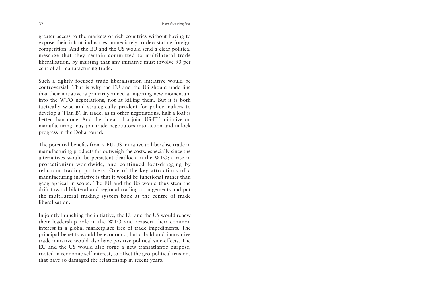greater access to the markets of rich countries without having to expose their infant industries immediately to devastating foreign competition. And the EU and the US would send a clear political message that they remain committed to multilateral trade liberalisation, by insisting that any initiative must involve 90 per cent of all manufacturing trade.

Such a tightly focused trade liberalisation initiative would be controversial. That is why the EU and the US should underline that their initiative is primarily aimed at injecting new momentum into the WTO negotiations, not at killing them. But it is both tactically wise and strategically prudent for policy-makers to develop a 'Plan B'. In trade, as in other negotiations, half a loaf is better than none. And the threat of a joint US-EU initiative on manufacturing may jolt trade negotiators into action and unlock progress in the Doha round.

The potential benefits from a EU-US initiative to liberalise trade in manufacturing products far outweigh the costs, especially since the alternatives would be persistent deadlock in the WTO; a rise in protectionism worldwide; and continued foot-dragging by reluctant trading partners. One of the key attractions of a manufacturing initiative is that it would be functional rather than geographical in scope. The EU and the US would thus stem the drift toward bilateral and regional trading arrangements and put the multilateral trading system back at the centre of trade liberalisation.

In jointly launching the initiative, the EU and the US would renew their leadership role in the WTO and reassert their common interest in a global marketplace free of trade impediments. The principal benefits would be economic, but a bold and innovative trade initiative would also have positive political side-effects. The EU and the US would also forge a new transatlantic purpose, rooted in economic self-interest, to offset the geo-political tensions that have so damaged the relationship in recent years.